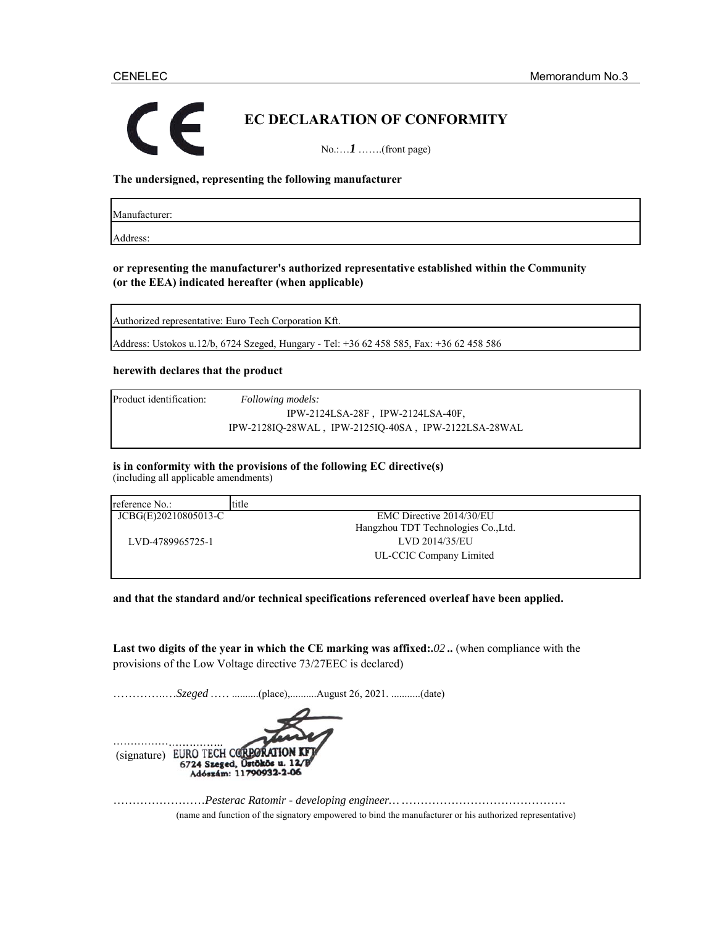# **EC DECLARATION OF CONFORMITY** No.:…*1* …….(front page)

**The undersigned, representing the following manufacturer**

Manufacturer:

Address:

**or representing the manufacturer's authorized representative established within the Community (or the EEA) indicated hereafter (when applicable)**

Authorized representative: Euro Tech Corporation Kft.

Address: Ustokos u.12/b, 6724 Szeged, Hungary - Tel: +36 62 458 585, Fax: +36 62 458 586

### **herewith declares that the product**

Product identification: *Following models:*

IPW-2124LSA-28F , IPW-2124LSA-40F, IPW-2128IQ-28WAL , IPW-2125IQ-40SA , IPW-2122LSA-28WAL

**is in conformity with the provisions of the following EC directive(s)** (including all applicable amendments)

| reference No.:       | title                               |
|----------------------|-------------------------------------|
| JCBG(E)20210805013-C | EMC Directive 2014/30/EU            |
|                      | Hangzhou TDT Technologies Co., Ltd. |
| LVD-4789965725-1     | LVD 2014/35/EU                      |
|                      | UL-CCIC Company Limited             |

**and that the standard and/or technical specifications referenced overleaf have been applied.**

**Last two digits of the year in which the CE marking was affixed:.***02* **..** (when compliance with the provisions of the Low Voltage directive 73/27EEC is declared)

…………..…*Szeged* ……..........(place),..........August 26, 2021. ...........(date)



……………………*Pesterac Ratomir - developing engineer…* ……………………………………. (name and function of the signatory empowered to bind the manufacturer or his authorized representative)